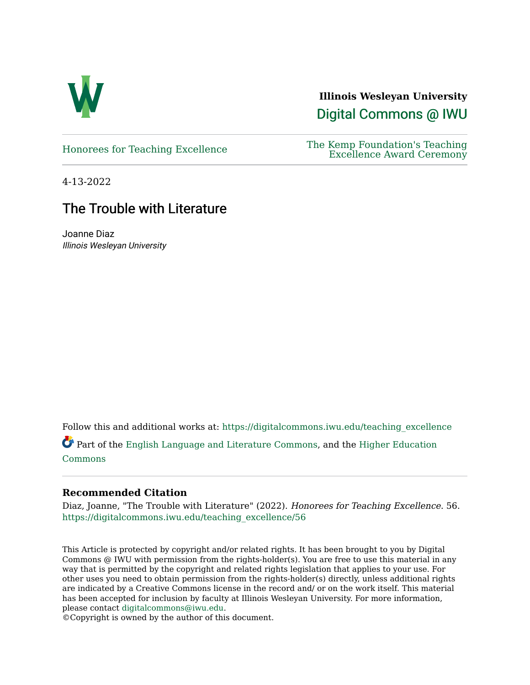

**Illinois Wesleyan University**  [Digital Commons @ IWU](https://digitalcommons.iwu.edu/) 

## [Honorees for Teaching Excellence](https://digitalcommons.iwu.edu/teaching_excellence) The Kemp Foundation's Teaching [Excellence Award Ceremony](https://digitalcommons.iwu.edu/honors_docs)

4-13-2022

# The Trouble with Literature

Joanne Diaz Illinois Wesleyan University

Follow this and additional works at: [https://digitalcommons.iwu.edu/teaching\\_excellence](https://digitalcommons.iwu.edu/teaching_excellence?utm_source=digitalcommons.iwu.edu%2Fteaching_excellence%2F56&utm_medium=PDF&utm_campaign=PDFCoverPages)

Part of the [English Language and Literature Commons](http://network.bepress.com/hgg/discipline/455?utm_source=digitalcommons.iwu.edu%2Fteaching_excellence%2F56&utm_medium=PDF&utm_campaign=PDFCoverPages), and the [Higher Education](http://network.bepress.com/hgg/discipline/1245?utm_source=digitalcommons.iwu.edu%2Fteaching_excellence%2F56&utm_medium=PDF&utm_campaign=PDFCoverPages)  [Commons](http://network.bepress.com/hgg/discipline/1245?utm_source=digitalcommons.iwu.edu%2Fteaching_excellence%2F56&utm_medium=PDF&utm_campaign=PDFCoverPages)

# **Recommended Citation**

Diaz, Joanne, "The Trouble with Literature" (2022). Honorees for Teaching Excellence. 56. [https://digitalcommons.iwu.edu/teaching\\_excellence/56](https://digitalcommons.iwu.edu/teaching_excellence/56?utm_source=digitalcommons.iwu.edu%2Fteaching_excellence%2F56&utm_medium=PDF&utm_campaign=PDFCoverPages) 

This Article is protected by copyright and/or related rights. It has been brought to you by Digital Commons @ IWU with permission from the rights-holder(s). You are free to use this material in any way that is permitted by the copyright and related rights legislation that applies to your use. For other uses you need to obtain permission from the rights-holder(s) directly, unless additional rights are indicated by a Creative Commons license in the record and/ or on the work itself. This material has been accepted for inclusion by faculty at Illinois Wesleyan University. For more information, please contact [digitalcommons@iwu.edu.](mailto:digitalcommons@iwu.edu)

©Copyright is owned by the author of this document.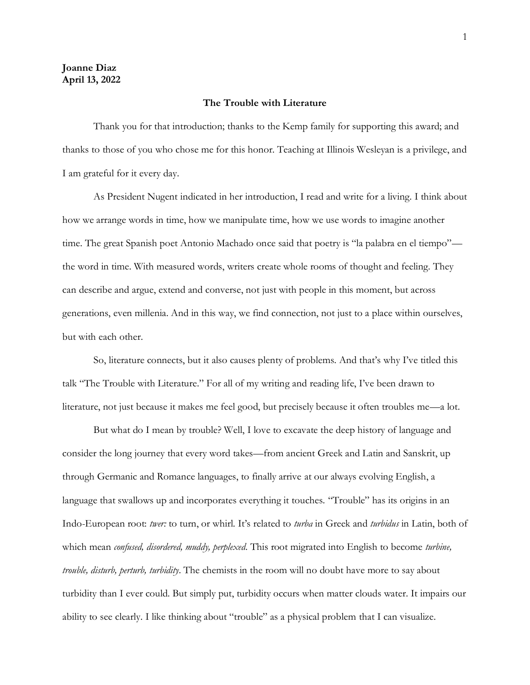#### **The Trouble with Literature**

Thank you for that introduction; thanks to the Kemp family for supporting this award; and thanks to those of you who chose me for this honor. Teaching at Illinois Wesleyan is a privilege, and I am grateful for it every day.

As President Nugent indicated in her introduction, I read and write for a living. I think about how we arrange words in time, how we manipulate time, how we use words to imagine another time. The great Spanish poet Antonio Machado once said that poetry is "la palabra en el tiempo" the word in time. With measured words, writers create whole rooms of thought and feeling. They can describe and argue, extend and converse, not just with people in this moment, but across generations, even millenia. And in this way, we find connection, not just to a place within ourselves, but with each other.

So, literature connects, but it also causes plenty of problems. And that's why I've titled this talk "The Trouble with Literature." For all of my writing and reading life, I've been drawn to literature, not just because it makes me feel good, but precisely because it often troubles me—a lot.

But what do I mean by trouble? Well, I love to excavate the deep history of language and consider the long journey that every word takes—from ancient Greek and Latin and Sanskrit, up through Germanic and Romance languages, to finally arrive at our always evolving English, a language that swallows up and incorporates everything it touches. "Trouble" has its origins in an Indo-European root: *twer:* to turn, or whirl. It's related to *turba* in Greek and *turbidus* in Latin, both of which mean *confused, disordered, muddy, perplexed*. This root migrated into English to become *turbine, trouble, disturb, perturb, turbidity*. The chemists in the room will no doubt have more to say about turbidity than I ever could. But simply put, turbidity occurs when matter clouds water. It impairs our ability to see clearly. I like thinking about "trouble" as a physical problem that I can visualize.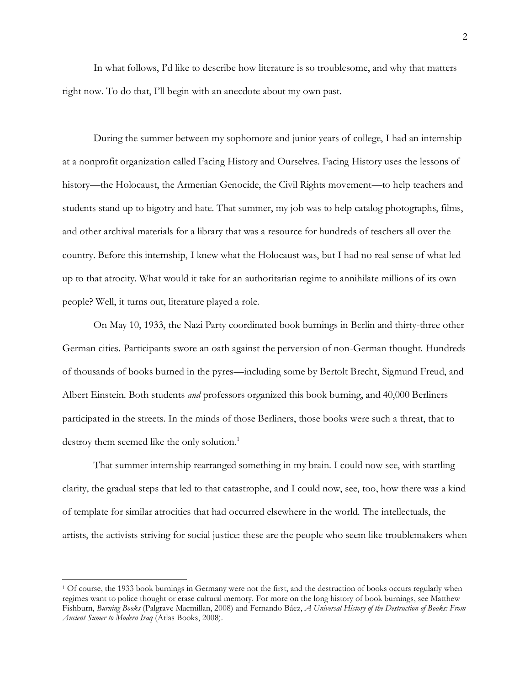In what follows, I'd like to describe how literature is so troublesome, and why that matters right now. To do that, I'll begin with an anecdote about my own past.

During the summer between my sophomore and junior years of college, I had an internship at a nonprofit organization called Facing History and Ourselves. Facing History uses the lessons of history—the Holocaust, the Armenian Genocide, the Civil Rights movement—to help teachers and students stand up to bigotry and hate. That summer, my job was to help catalog photographs, films, and other archival materials for a library that was a resource for hundreds of teachers all over the country. Before this internship, I knew what the Holocaust was, but I had no real sense of what led up to that atrocity. What would it take for an authoritarian regime to annihilate millions of its own people? Well, it turns out, literature played a role.

On May 10, 1933, the Nazi Party coordinated book burnings in Berlin and thirty-three other German cities. Participants swore an oath against the perversion of non-German thought. Hundreds of thousands of books burned in the pyres—including some by Bertolt Brecht, Sigmund Freud, and Albert Einstein. Both students *and* professors organized this book burning, and 40,000 Berliners participated in the streets. In the minds of those Berliners, those books were such a threat, that to destroy them seemed like the only solution.<sup>1</sup>

That summer internship rearranged something in my brain. I could now see, with startling clarity, the gradual steps that led to that catastrophe, and I could now, see, too, how there was a kind of template for similar atrocities that had occurred elsewhere in the world. The intellectuals, the artists, the activists striving for social justice: these are the people who seem like troublemakers when

<sup>1</sup> Of course, the 1933 book burnings in Germany were not the first, and the destruction of books occurs regularly when regimes want to police thought or erase cultural memory. For more on the long history of book burnings, see Matthew Fishburn, *Burning Books* (Palgrave Macmillan, 2008) and Fernando Báez, *A Universal History of the Destruction of Books: From Ancient Sumer to Modern Iraq* (Atlas Books, 2008).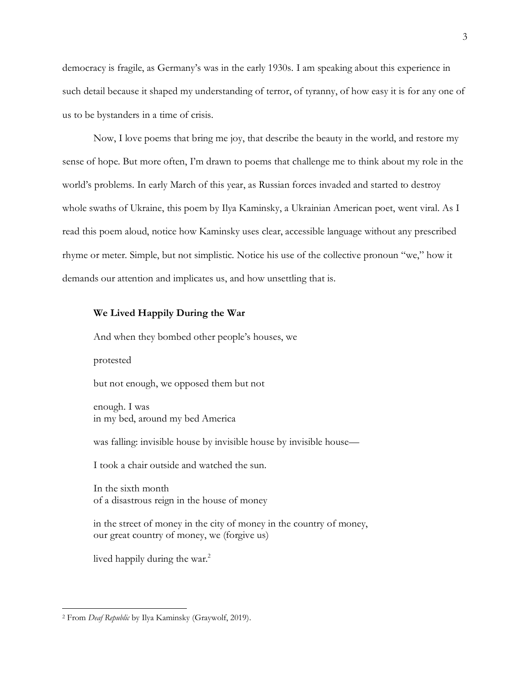democracy is fragile, as Germany's was in the early 1930s. I am speaking about this experience in such detail because it shaped my understanding of terror, of tyranny, of how easy it is for any one of us to be bystanders in a time of crisis.

Now, I love poems that bring me joy, that describe the beauty in the world, and restore my sense of hope. But more often, I'm drawn to poems that challenge me to think about my role in the world's problems. In early March of this year, as Russian forces invaded and started to destroy whole swaths of Ukraine, this poem by Ilya Kaminsky, a Ukrainian American poet, went viral. As I read this poem aloud, notice how Kaminsky uses clear, accessible language without any prescribed rhyme or meter. Simple, but not simplistic. Notice his use of the collective pronoun "we," how it demands our attention and implicates us, and how unsettling that is.

### **We Lived Happily During the War**

And when they bombed other people's houses, we

protested

but not enough, we opposed them but not

enough. I was in my bed, around my bed America

was falling: invisible house by invisible house by invisible house—

I took a chair outside and watched the sun.

In the sixth month of a disastrous reign in the house of money

in the street of money in the city of money in the country of money, our great country of money, we (forgive us)

lived happily during the war.<sup>2</sup>

<sup>2</sup> From *Deaf Republic* by Ilya Kaminsky (Graywolf, 2019).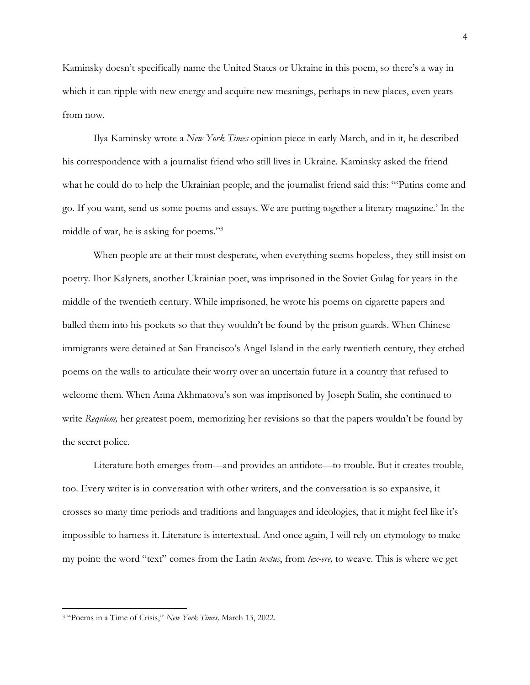Kaminsky doesn't specifically name the United States or Ukraine in this poem, so there's a way in which it can ripple with new energy and acquire new meanings, perhaps in new places, even years from now.

Ilya Kaminsky wrote a *New York Times* opinion piece in early March, and in it, he described his correspondence with a journalist friend who still lives in Ukraine. Kaminsky asked the friend what he could do to help the Ukrainian people, and the journalist friend said this: "'Putins come and go. If you want, send us some poems and essays. We are putting together a literary magazine.' In the middle of war, he is asking for poems."<sup>3</sup>

When people are at their most desperate, when everything seems hopeless, they still insist on poetry. Ihor Kalynets, another Ukrainian poet, was imprisoned in the Soviet Gulag for years in the middle of the twentieth century. While imprisoned, he wrote his poems on cigarette papers and balled them into his pockets so that they wouldn't be found by the prison guards. When Chinese immigrants were detained at San Francisco's Angel Island in the early twentieth century, they etched poems on the walls to articulate their worry over an uncertain future in a country that refused to welcome them. When Anna Akhmatova's son was imprisoned by Joseph Stalin, she continued to write *Requiem*, her greatest poem, memorizing her revisions so that the papers wouldn't be found by the secret police.

Literature both emerges from—and provides an antidote—to trouble. But it creates trouble, too. Every writer is in conversation with other writers, and the conversation is so expansive, it crosses so many time periods and traditions and languages and ideologies, that it might feel like it's impossible to harness it. Literature is intertextual. And once again, I will rely on etymology to make my point: the word "text" comes from the Latin *textus*, from *tex-ere,* to weave. This is where we get

<sup>3</sup> "Poems in a Time of Crisis," *New York Times,* March 13, 2022.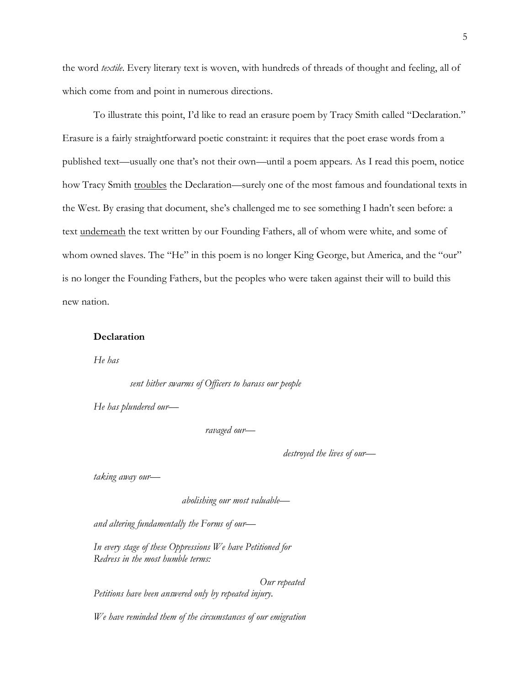the word *textile*. Every literary text is woven, with hundreds of threads of thought and feeling, all of which come from and point in numerous directions.

To illustrate this point, I'd like to read an erasure poem by Tracy Smith called "Declaration." Erasure is a fairly straightforward poetic constraint: it requires that the poet erase words from a published text—usually one that's not their own—until a poem appears. As I read this poem, notice how Tracy Smith troubles the Declaration—surely one of the most famous and foundational texts in the West. By erasing that document, she's challenged me to see something I hadn't seen before: a text underneath the text written by our Founding Fathers, all of whom were white, and some of whom owned slaves. The "He" in this poem is no longer King George, but America, and the "our" is no longer the Founding Fathers, but the peoples who were taken against their will to build this new nation.

#### **Declaration**

*He has*

 *sent hither swarms of Officers to harass our people*

*He has plundered our*—

*ravaged our*—

*destroyed the lives of our*—

*taking away our*—

*abolishing our most valuable*—

*and altering fundamentally the Forms of our*—

*In every stage of these Oppressions We have Petitioned for Redress in the most humble terms:*

 *Our repeated Petitions have been answered only by repeated injury.*

*We have reminded them of the circumstances of our emigration*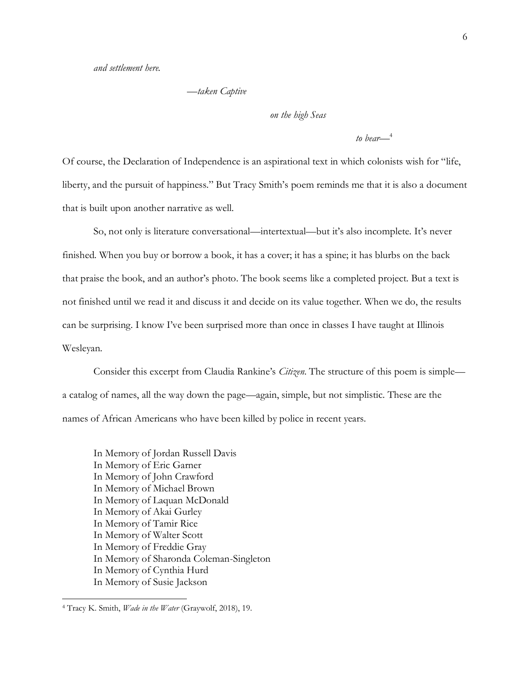—*taken Captive*

*on the high Seas*

*to bear—*<sup>4</sup>

Of course, the Declaration of Independence is an aspirational text in which colonists wish for "life, liberty, and the pursuit of happiness." But Tracy Smith's poem reminds me that it is also a document that is built upon another narrative as well.

So, not only is literature conversational—intertextual—but it's also incomplete. It's never finished. When you buy or borrow a book, it has a cover; it has a spine; it has blurbs on the back that praise the book, and an author's photo. The book seems like a completed project. But a text is not finished until we read it and discuss it and decide on its value together. When we do, the results can be surprising. I know I've been surprised more than once in classes I have taught at Illinois Wesleyan.

Consider this excerpt from Claudia Rankine's *Citizen*. The structure of this poem is simple a catalog of names, all the way down the page—again, simple, but not simplistic. These are the names of African Americans who have been killed by police in recent years.

In Memory of Jordan Russell Davis In Memory of Eric Garner In Memory of John Crawford In Memory of Michael Brown In Memory of Laquan McDonald In Memory of Akai Gurley In Memory of Tamir Rice In Memory of Walter Scott In Memory of Freddie Gray In Memory of Sharonda Coleman-Singleton In Memory of Cynthia Hurd In Memory of Susie Jackson

<sup>4</sup> Tracy K. Smith, *Wade in the Water* (Graywolf, 2018), 19.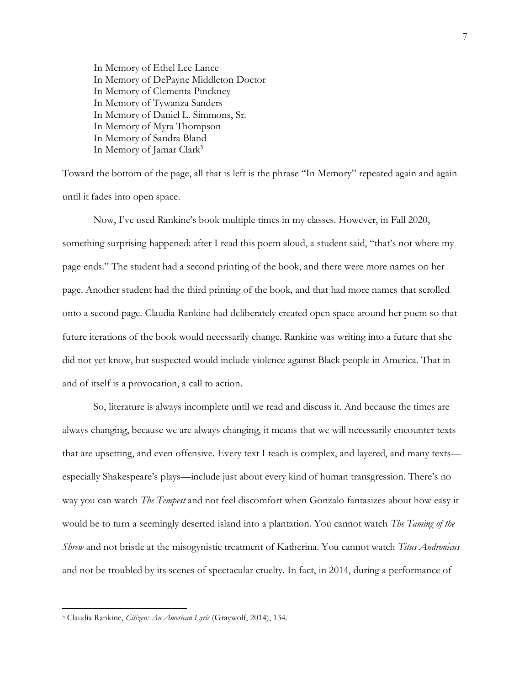In Memory of Ethel Lee Lance In Memory of DePayne Middleton Doctor In Memory of Clementa Pinckney In Memory of Tywanza Sanders In Memory of Daniel L. Simmons, Sr. In Memory of Myra Thompson In Memory of Sandra Bland In Memory of Jamar Clark<sup>5</sup>

Toward the bottom of the page, all that is left is the phrase "In Memory" repeated again and again until it fades into open space.

Now, I've used Rankine's book multiple times in my classes. However, in Fall 2020, something surprising happened: after I read this poem aloud, a student said, "that's not where my page ends." The student had a second printing of the book, and there were more names on her page. Another student had the third printing of the book, and that had more names that scrolled onto a second page. Claudia Rankine had deliberately created open space around her poem so that future iterations of the book would necessarily change. Rankine was writing into a future that she did not yet know, but suspected would include violence against Black people in America. That in and of itself is a provocation, a call to action.

So, literature is always incomplete until we read and discuss it. And because the times are always changing, because we are always changing, it means that we will necessarily encounter texts that are upsetting, and even offensive. Every text I teach is complex, and layered, and many texts especially Shakespeare's plays—include just about every kind of human transgression. There's no way you can watch *The Tempest* and not feel discomfort when Gonzalo fantasizes about how easy it would be to turn a seemingly deserted island into a plantation. You cannot watch *The Taming of the Shrew* and not bristle at the misogynistic treatment of Katherina. You cannot watch *Titus Andronicus*  and not be troubled by its scenes of spectacular cruelty. In fact, in 2014, during a performance of

<sup>5</sup> Claudia Rankine, *Citizen: An American Lyric* (Graywolf, 2014), 134.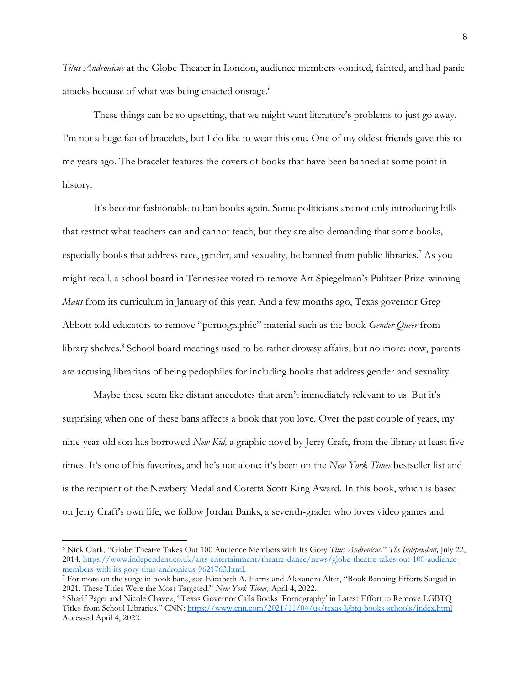*Titus Andronicus* at the Globe Theater in London, audience members vomited, fainted, and had panic attacks because of what was being enacted onstage. 6

These things can be so upsetting, that we might want literature's problems to just go away. I'm not a huge fan of bracelets, but I do like to wear this one. One of my oldest friends gave this to me years ago. The bracelet features the covers of books that have been banned at some point in history.

It's become fashionable to ban books again. Some politicians are not only introducing bills that restrict what teachers can and cannot teach, but they are also demanding that some books, especially books that address race, gender, and sexuality, be banned from public libraries.<sup>7</sup> As you might recall, a school board in Tennessee voted to remove Art Spiegelman's Pulitzer Prize-winning *Maus* from its curriculum in January of this year. And a few months ago, Texas governor Greg Abbott told educators to remove "pornographic" material such as the book *Gender Queer* from library shelves.<sup>8</sup> School board meetings used to be rather drowsy affairs, but no more: now, parents are accusing librarians of being pedophiles for including books that address gender and sexuality.

Maybe these seem like distant anecdotes that aren't immediately relevant to us. But it's surprising when one of these bans affects a book that you love. Over the past couple of years, my nine-year-old son has borrowed *New Kid,* a graphic novel by Jerry Craft, from the library at least five times. It's one of his favorites, and he's not alone: it's been on the *New York Times* bestseller list and is the recipient of the Newbery Medal and Coretta Scott King Award. In this book, which is based on Jerry Craft's own life, we follow Jordan Banks, a seventh-grader who loves video games and

<sup>6</sup> Nick Clark, "Globe Theatre Takes Out 100 Audience Members with Its Gory *Titus Andronicus.*" *The Independent,* July 22, 2014[. https://www.independent.co.uk/arts-entertainment/theatre-dance/news/globe-theatre-takes-out-100-audience](https://www.independent.co.uk/arts-entertainment/theatre-dance/news/globe-theatre-takes-out-100-audience-members-with-its-gory-titus-andronicus-9621763.html)[members-with-its-gory-titus-andronicus-9621763.html.](https://www.independent.co.uk/arts-entertainment/theatre-dance/news/globe-theatre-takes-out-100-audience-members-with-its-gory-titus-andronicus-9621763.html)

<sup>7</sup> For more on the surge in book bans, see Elizabeth A. Harris and Alexandra Alter, "Book Banning Efforts Surged in 2021. These Titles Were the Most Targeted." *New York Times,* April 4, 2022.

<sup>8</sup> Sharif Paget and Nicole Chavez, "Texas Governor Calls Books 'Pornography' in Latest Effort to Remove LGBTQ Titles from School Libraries." CNN: <https://www.cnn.com/2021/11/04/us/texas-lgbtq-books-schools/index.html> Accessed April 4, 2022.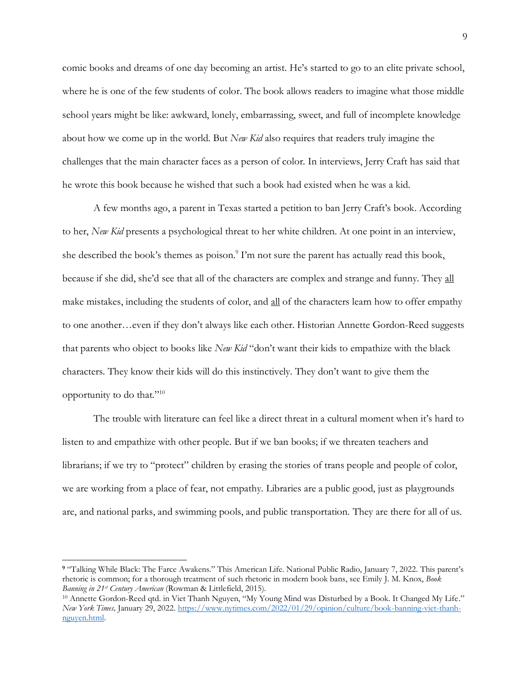comic books and dreams of one day becoming an artist. He's started to go to an elite private school, where he is one of the few students of color. The book allows readers to imagine what those middle school years might be like: awkward, lonely, embarrassing, sweet, and full of incomplete knowledge about how we come up in the world. But *New Kid* also requires that readers truly imagine the challenges that the main character faces as a person of color. In interviews, Jerry Craft has said that he wrote this book because he wished that such a book had existed when he was a kid.

A few months ago, a parent in Texas started a petition to ban Jerry Craft's book. According to her, *New Kid* presents a psychological threat to her white children. At one point in an interview, she described the book's themes as poison.<sup>9</sup> I'm not sure the parent has actually read this book, because if she did, she'd see that all of the characters are complex and strange and funny. They all make mistakes, including the students of color, and all of the characters learn how to offer empathy to one another…even if they don't always like each other. Historian Annette Gordon-Reed suggests that parents who object to books like *New Kid* "don't want their kids to empathize with the black characters. They know their kids will do this instinctively. They don't want to give them the opportunity to do that."<sup>10</sup>

The trouble with literature can feel like a direct threat in a cultural moment when it's hard to listen to and empathize with other people. But if we ban books; if we threaten teachers and librarians; if we try to "protect" children by erasing the stories of trans people and people of color, we are working from a place of fear, not empathy. Libraries are a public good, just as playgrounds are, and national parks, and swimming pools, and public transportation. They are there for all of us.

**<sup>9</sup>** "Talking While Black: The Farce Awakens." This American Life. National Public Radio, January 7, 2022. This parent's rhetoric is common; for a thorough treatment of such rhetoric in modern book bans, see Emily J. M. Knox, *Book Banning in 21st Century American* (Rowman & Littlefield, 2015).

<sup>10</sup> Annette Gordon-Reed qtd. in Viet Thanh Nguyen, "My Young Mind was Disturbed by a Book. It Changed My Life." *New York Times,* January 29, 2022. [https://www.nytimes.com/2022/01/29/opinion/culture/book-banning-viet-thanh](https://www.nytimes.com/2022/01/29/opinion/culture/book-banning-viet-thanh-nguyen.html)[nguyen.html.](https://www.nytimes.com/2022/01/29/opinion/culture/book-banning-viet-thanh-nguyen.html)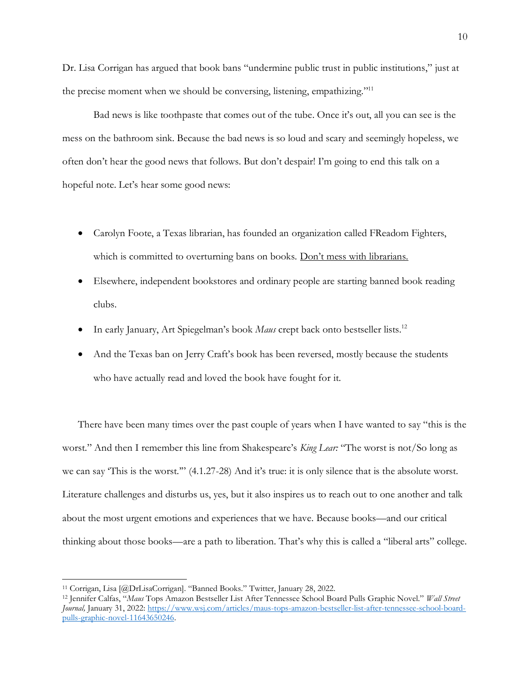Dr. Lisa Corrigan has argued that book bans "undermine public trust in public institutions," just at the precise moment when we should be conversing, listening, empathizing."<sup>11</sup>

Bad news is like toothpaste that comes out of the tube. Once it's out, all you can see is the mess on the bathroom sink. Because the bad news is so loud and scary and seemingly hopeless, we often don't hear the good news that follows. But don't despair! I'm going to end this talk on a hopeful note. Let's hear some good news:

- Carolyn Foote, a Texas librarian, has founded an organization called FReadom Fighters, which is committed to overturning bans on books. Don't mess with librarians.
- Elsewhere, independent bookstores and ordinary people are starting banned book reading clubs.
- In early January, Art Spiegelman's book *Maus* crept back onto bestseller lists.<sup>12</sup>
- And the Texas ban on Jerry Craft's book has been reversed, mostly because the students who have actually read and loved the book have fought for it.

There have been many times over the past couple of years when I have wanted to say "this is the worst." And then I remember this line from Shakespeare's *King Lear:* "The worst is not/So long as we can say 'This is the worst.'" (4.1.27-28) And it's true: it is only silence that is the absolute worst. Literature challenges and disturbs us, yes, but it also inspires us to reach out to one another and talk about the most urgent emotions and experiences that we have. Because books—and our critical thinking about those books—are a path to liberation. That's why this is called a "liberal arts" college.

<sup>11</sup> Corrigan, Lisa [@DrLisaCorrigan]. "Banned Books." Twitter, January 28, 2022.

<sup>12</sup> Jennifer Calfas, "*Maus* Tops Amazon Bestseller List After Tennessee School Board Pulls Graphic Novel." *Wall Street Journal,* January 31, 2022: [https://www.wsj.com/articles/maus-tops-amazon-bestseller-list-after-tennessee-school-board](https://www.wsj.com/articles/maus-tops-amazon-bestseller-list-after-tennessee-school-board-pulls-graphic-novel-11643650246)[pulls-graphic-novel-11643650246.](https://www.wsj.com/articles/maus-tops-amazon-bestseller-list-after-tennessee-school-board-pulls-graphic-novel-11643650246)